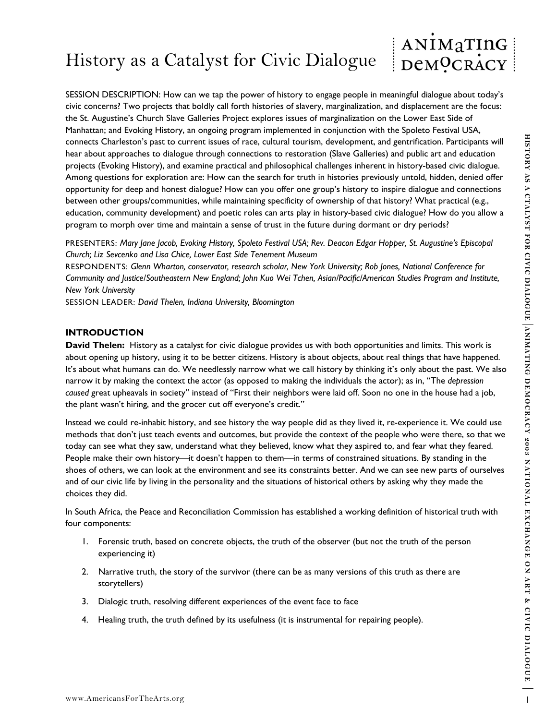## ANIMATING History as a Catalyst for Civic Dialogue DeMOCRACY

connects Charlestoris paix to current taxes of acts, cultural correction to reaction pair and the charlestoristic projection of the energy properties of the control of the control of the control of the control of the contr SESSION DESCRIPTION: How can we tap the power of history to engage people in meaningful dialogue about today's civic concerns? Two projects that boldly call forth histories of slavery, marginalization, and displacement are the focus: the St. Augustine's Church Slave Galleries Project explores issues of marginalization on the Lower East Side of Manhattan; and Evoking History, an ongoing program implemented in conjunction with the Spoleto Festival USA, connects Charleston's past to current issues of race, cultural tourism, development, and gentrification. Participants will hear about approaches to dialogue through connections to restoration (Slave Galleries) and public art and education projects (Evoking History), and examine practical and philosophical challenges inherent in history-based civic dialogue. Among questions for exploration are: How can the search for truth in histories previously untold, hidden, denied offer opportunity for deep and honest dialogue? How can you offer one group's history to inspire dialogue and connections between other groups/communities, while maintaining specificity of ownership of that history? What practical (e.g., education, community development) and poetic roles can arts play in history-based civic dialogue? How do you allow a program to morph over time and maintain a sense of trust in the future during dormant or dry periods?

PRESENTERS: *Mary Jane Jacob, Evoking History, Spoleto Festival USA; Rev. Deacon Edgar Hopper, St. Augustine's Episcopal Church; Liz Sevcenko and Lisa Chice, Lower East Side Tenement Museum*

RESPONDENTS: *Glenn Wharton, conservator, research scholar, New York University; Rob Jones, National Conference for Community and Justice/Southeastern New England; John Kuo Wei Tchen, Asian/Pacific/American Studies Program and Institute, New York University* 

SESSION LEADER: *David Thelen, Indiana University, Bloomington*

### **INTRODUCTION**

**David Thelen:** History as a catalyst for civic dialogue provides us with both opportunities and limits. This work is about opening up history, using it to be better citizens. History is about objects, about real things that have happened. It's about what humans can do. We needlessly narrow what we call history by thinking it's only about the past. We also narrow it by making the context the actor (as opposed to making the individuals the actor); as in, "The *depression caused* great upheavals in society" instead of "First their neighbors were laid off. Soon no one in the house had a job, the plant wasn't hiring, and the grocer cut off everyone's credit."

Instead we could re-inhabit history, and see history the way people did as they lived it, re-experience it. We could use methods that don't just teach events and outcomes, but provide the context of the people who were there, so that we today can see what they saw, understand what they believed, know what they aspired to, and fear what they feared. People make their own history—it doesn't happen to them—in terms of constrained situations. By standing in the shoes of others, we can look at the environment and see its constraints better. And we can see new parts of ourselves and of our civic life by living in the personality and the situations of historical others by asking why they made the choices they did.

In South Africa, the Peace and Reconciliation Commission has established a working definition of historical truth with four components:

- 1. Forensic truth, based on concrete objects, the truth of the observer (but not the truth of the person experiencing it)
- 2. Narrative truth, the story of the survivor (there can be as many versions of this truth as there are storytellers)
- 3. Dialogic truth, resolving different experiences of the event face to face
- 4. Healing truth, the truth defined by its usefulness (it is instrumental for repairing people).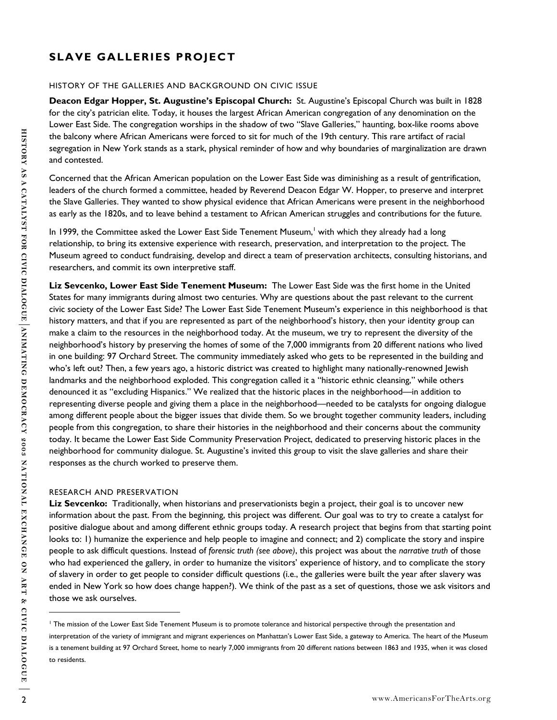# **SLAVE GALLERIES PROJECT**

#### HISTORY OF THE GALLERIES AND BACKGROUND ON CIVIC ISSUE

**Deacon Edgar Hopper, St. Augustine's Episcopal Church:** St. Augustine's Episcopal Church was built in 1828 for the city's patrician elite. Today, it houses the largest African American congregation of any denomination on the Lower East Side. The congregation worships in the shadow of two "Slave Galleries," haunting, box-like rooms above the balcony where African Americans were forced to sit for much of the 19th century. This rare artifact of racial segregation in New York stands as a stark, physical reminder of how and why boundaries of marginalization are drawn and contested.

Concerned that the African American population on the Lower East Side was diminishing as a result of gentrification, leaders of the church formed a committee, headed by Reverend Deacon Edgar W. Hopper, to preserve and interpret the Slave Galleries. They wanted to show physical evidence that African Americans were present in the neighborhood as early as the 1820s, and to leave behind a testament to African American struggles and contributions for the future.

In 1999, the Committee asked the Lower East Side Tenement Museum,<sup>1</sup> with which they already had a long relationship, to bring its extensive experience with research, preservation, and interpretation to the project. The Museum agreed to conduct fundraising, develop and direct a team of preservation architects, consulting historians, and researchers, and commit its own interpretive staff.

Its hardness works what is a well-control of the much of the This case that of statis of activity of the matrix of the matrix of the matrix of the matrix of the matrix of the matrix of the matrix of the matrix of the matr **Liz Sevcenko, Lower East Side Tenement Museum:** The Lower East Side was the first home in the United States for many immigrants during almost two centuries. Why are questions about the past relevant to the current civic society of the Lower East Side? The Lower East Side Tenement Museum's experience in this neighborhood is that history matters, and that if you are represented as part of the neighborhood's history, then your identity group can make a claim to the resources in the neighborhood today. At the museum, we try to represent the diversity of the neighborhood's history by preserving the homes of some of the 7,000 immigrants from 20 different nations who lived in one building: 97 Orchard Street. The community immediately asked who gets to be represented in the building and who's left out? Then, a few years ago, a historic district was created to highlight many nationally-renowned Jewish landmarks and the neighborhood exploded. This congregation called it a "historic ethnic cleansing," while others denounced it as "excluding Hispanics." We realized that the historic places in the neighborhood—in addition to representing diverse people and giving them a place in the neighborhood—needed to be catalysts for ongoing dialogue among different people about the bigger issues that divide them. So we brought together community leaders, including people from this congregation, to share their histories in the neighborhood and their concerns about the community today. It became the Lower East Side Community Preservation Project, dedicated to preserving historic places in the neighborhood for community dialogue. St. Augustine's invited this group to visit the slave galleries and share their responses as the church worked to preserve them.

#### RESEARCH AND PRESERVATION

**Liz Sevcenko:** Traditionally, when historians and preservationists begin a project, their goal is to uncover new information about the past. From the beginning, this project was different. Our goal was to try to create a catalyst for positive dialogue about and among different ethnic groups today. A research project that begins from that starting point looks to: 1) humanize the experience and help people to imagine and connect; and 2) complicate the story and inspire people to ask difficult questions. Instead of *forensic truth (see above)*, this project was about the *narrative truth* of those who had experienced the gallery, in order to humanize the visitors' experience of history, and to complicate the story of slavery in order to get people to consider difficult questions (i.e., the galleries were built the year after slavery was ended in New York so how does change happen?). We think of the past as a set of questions, those we ask visitors and those we ask ourselves.

 $\overline{a}$ 

The mission of the Lower East Side Tenement Museum is to promote tolerance and historical perspective through the presentation and interpretation of the variety of immigrant and migrant experiences on Manhattan's Lower East Side, a gateway to America. The heart of the Museum is a tenement building at 97 Orchard Street, home to nearly 7,000 immigrants from 20 different nations between 1863 and 1935, when it was closed to residents.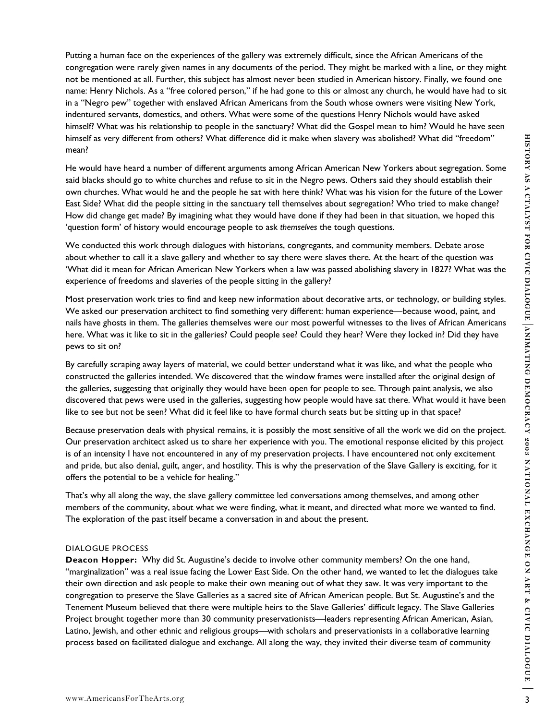Putting a human face on the experiences of the gallery was extremely difficult, since the African Americans of the congregation were rarely given names in any documents of the period. They might be marked with a line, or they might not be mentioned at all. Further, this subject has almost never been studied in American history. Finally, we found one name: Henry Nichols. As a "free colored person," if he had gone to this or almost any church, he would have had to sit in a "Negro pew" together with enslaved African Americans from the South whose owners were visiting New York, indentured servants, domestics, and others. What were some of the questions Henry Nichols would have asked himself? What was his relationship to people in the sanctuary? What did the Gospel mean to him? Would he have seen himself as very different from others? What difference did it make when slavery was abolished? What did "freedom" mean?

He would have heard a number of different arguments among African American New Yorkers about segregation. Some said blacks should go to white churches and refuse to sit in the Negro pews. Others said they should establish their own churches. What would he and the people he sat with here think? What was his vision for the future of the Lower East Side? What did the people sitting in the sanctuary tell themselves about segregation? Who tried to make change? How did change get made? By imagining what they would have done if they had been in that situation, we hoped this 'question form' of history would encourage people to ask *themselves* the tough questions.

We conducted this work through dialogues with historians, congregants, and community members. Debate arose about whether to call it a slave gallery and whether to say there were slaves there. At the heart of the question was 'What did it mean for African American New Yorkers when a law was passed abolishing slavery in 1827? What was the experience of freedoms and slaveries of the people sitting in the gallery?

Most preservation work tries to find and keep new information about decorative arts, or technology, or building styles. We asked our preservation architect to find something very different: human experience—because wood, paint, and nails have ghosts in them. The galleries themselves were our most powerful witnesses to the lives of African Americans here. What was it like to sit in the galleries? Could people see? Could they hear? Were they locked in? Did they have pews to sit on?

By carefully scraping away layers of material, we could better understand what it was like, and what the people who constructed the galleries intended. We discovered that the window frames were installed after the original design of the galleries, suggesting that originally they would have been open for people to see. Through paint analysis, we also discovered that pews were used in the galleries, suggesting how people would have sat there. What would it have been like to see but not be seen? What did it feel like to have formal church seats but be sitting up in that space?

Because preservation deals with physical remains, it is possibly the most sensitive of all the work we did on the project. Our preservation architect asked us to share her experience with you. The emotional response elicited by this project is of an intensity I have not encountered in any of my preservation projects. I have encountered not only excitement and pride, but also denial, guilt, anger, and hostility. This is why the preservation of the Slave Gallery is exciting, for it offers the potential to be a vehicle for healing."

That's why all along the way, the slave gallery committee led conversations among themselves, and among other members of the community, about what we were finding, what it meant, and directed what more we wanted to find. The exploration of the past itself became a conversation in and about the present.

#### DIALOGUE PROCESS

whene the series of the tens in the series of the series when showes was abolished. What differences in a method to the best of the series support and the method in a method in a method in a method in a method in the serie **Deacon Hopper:** Why did St. Augustine's decide to involve other community members? On the one hand, "marginalization" was a real issue facing the Lower East Side. On the other hand, we wanted to let the dialogues take their own direction and ask people to make their own meaning out of what they saw. It was very important to the congregation to preserve the Slave Galleries as a sacred site of African American people. But St. Augustine's and the Tenement Museum believed that there were multiple heirs to the Slave Galleries' difficult legacy. The Slave Galleries Project brought together more than 30 community preservationists—leaders representing African American, Asian, Latino, Jewish, and other ethnic and religious groups—with scholars and preservationists in a collaborative learning process based on facilitated dialogue and exchange. All along the way, they invited their diverse team of community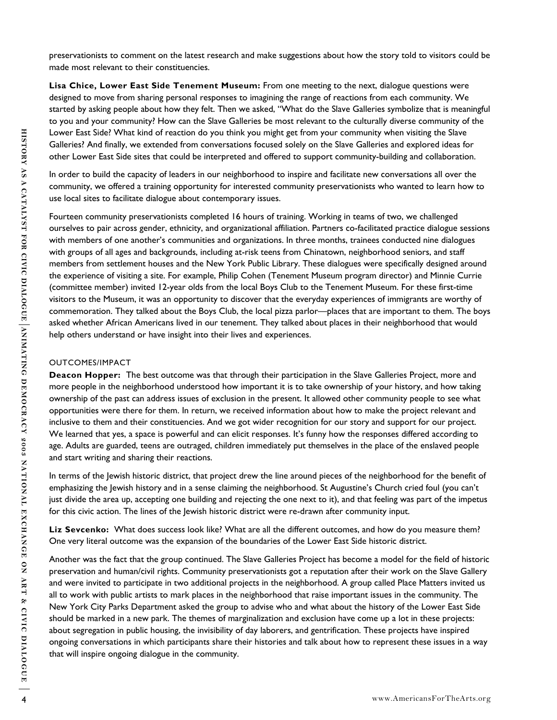preservationists to comment on the latest research and make suggestions about how the story told to visitors could be made most relevant to their constituencies.

**Lisa Chice, Lower East Side Tenement Museum:** From one meeting to the next, dialogue questions were designed to move from sharing personal responses to imagining the range of reactions from each community. We started by asking people about how they felt. Then we asked, "What do the Slave Galleries symbolize that is meaningful to you and your community? How can the Slave Galleries be most relevant to the culturally diverse community of the Lower East Side? What kind of reaction do you think you might get from your community when visiting the Slave Galleries? And finally, we extended from conversations focused solely on the Slave Galleries and explored ideas for other Lower East Side sites that could be interpreted and offered to support community-building and collaboration.

In order to build the capacity of leaders in our neighborhood to inspire and facilitate new conversations all over the community, we offered a training opportunity for interested community preservationists who wanted to learn how to use local sites to facilitate dialogue about contemporary issues.

Lower that the interest of the two interest or the person of the second of the interest of the second of the second of the second of the second of the second of the second of the second of the second of the second of the s Fourteen community preservationists completed 16 hours of training. Working in teams of two, we challenged ourselves to pair across gender, ethnicity, and organizational affiliation. Partners co-facilitated practice dialogue sessions with members of one another's communities and organizations. In three months, trainees conducted nine dialogues with groups of all ages and backgrounds, including at-risk teens from Chinatown, neighborhood seniors, and staff members from settlement houses and the New York Public Library. These dialogues were specifically designed around the experience of visiting a site. For example, Philip Cohen (Tenement Museum program director) and Minnie Currie (committee member) invited 12-year olds from the local Boys Club to the Tenement Museum. For these first-time visitors to the Museum, it was an opportunity to discover that the everyday experiences of immigrants are worthy of commemoration. They talked about the Boys Club, the local pizza parlor—places that are important to them. The boys asked whether African Americans lived in our tenement. They talked about places in their neighborhood that would help others understand or have insight into their lives and experiences.

#### OUTCOMES/IMPACT

**Deacon Hopper:** The best outcome was that through their participation in the Slave Galleries Project, more and more people in the neighborhood understood how important it is to take ownership of your history, and how taking ownership of the past can address issues of exclusion in the present. It allowed other community people to see what opportunities were there for them. In return, we received information about how to make the project relevant and inclusive to them and their constituencies. And we got wider recognition for our story and support for our project. We learned that yes, a space is powerful and can elicit responses. It's funny how the responses differed according to age. Adults are guarded, teens are outraged, children immediately put themselves in the place of the enslaved people and start writing and sharing their reactions.

In terms of the Jewish historic district, that project drew the line around pieces of the neighborhood for the benefit of emphasizing the Jewish history and in a sense claiming the neighborhood. St Augustine's Church cried foul (you can't just divide the area up, accepting one building and rejecting the one next to it), and that feeling was part of the impetus for this civic action. The lines of the Jewish historic district were re-drawn after community input.

**Liz Sevcenko:** What does success look like? What are all the different outcomes, and how do you measure them? One very literal outcome was the expansion of the boundaries of the Lower East Side historic district.

Another was the fact that the group continued. The Slave Galleries Project has become a model for the field of historic preservation and human/civil rights. Community preservationists got a reputation after their work on the Slave Gallery and were invited to participate in two additional projects in the neighborhood. A group called Place Matters invited us all to work with public artists to mark places in the neighborhood that raise important issues in the community. The New York City Parks Department asked the group to advise who and what about the history of the Lower East Side should be marked in a new park. The themes of marginalization and exclusion have come up a lot in these projects: about segregation in public housing, the invisibility of day laborers, and gentrification. These projects have inspired ongoing conversations in which participants share their histories and talk about how to represent these issues in a way that will inspire ongoing dialogue in the community.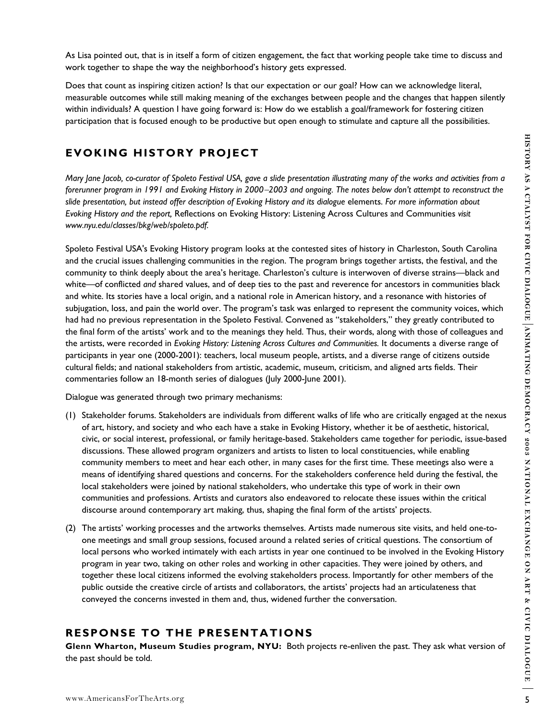Does that count as inspiring citizen action? Is that our expectation or our goal? How can we acknowledge literal, measurable outcomes while still making meaning of the exchanges between people and the changes that happen silently within individuals? A question I have going forward is: How do we establish a goal/framework for fostering citizen participation that is focused enough to be productive but open enough to stimulate and capture all the possibilities.

# **EVOKING HISTORY PROJECT**

*Mary Jane Jacob, co-curator of Spoleto Festival USA, gave a slide presentation illustrating many of the works and activities from a forerunner program in 1991 and Evoking History in 2000*−*2003 and ongoing. The notes below don't attempt to reconstruct the slide presentation, but instead offer description of Evoking History and its dialogue* elements. *For more information about Evoking History and the report,* Reflections on Evoking History: Listening Across Cultures and Communities *visit www.nyu.edu/classes/bkg/web/spoleto.pdf.* 

**EVOKING HISTORY PROJECT**<br>
Wany Jose jects, co-comes of Species Fested USA, gove a delo procedure where the read of the state of the state for the final frame since the state of the state for the state of the state of the Spoleto Festival USA's Evoking History program looks at the contested sites of history in Charleston, South Carolina and the crucial issues challenging communities in the region. The program brings together artists, the festival, and the community to think deeply about the area's heritage. Charleston's culture is interwoven of diverse strains—black and white—of conflicted *and* shared values, and of deep ties to the past and reverence for ancestors in communities black and white. Its stories have a local origin, and a national role in American history, and a resonance with histories of subjugation, loss, and pain the world over. The program's task was enlarged to represent the community voices, which had had no previous representation in the Spoleto Festival. Convened as "stakeholders," they greatly contributed to the final form of the artists' work and to the meanings they held. Thus, their words, along with those of colleagues and the artists, were recorded in *Evoking History: Listening Across Cultures and Communities.* It documents a diverse range of participants in year one (2000-2001): teachers, local museum people, artists, and a diverse range of citizens outside cultural fields; and national stakeholders from artistic, academic, museum, criticism, and aligned arts fields. Their commentaries follow an 18-month series of dialogues (July 2000-June 2001).

Dialogue was generated through two primary mechanisms:

- (1) Stakeholder forums. Stakeholders are individuals from different walks of life who are critically engaged at the nexus of art, history, and society and who each have a stake in Evoking History, whether it be of aesthetic, historical, civic, or social interest, professional, or family heritage-based. Stakeholders came together for periodic, issue-based discussions. These allowed program organizers and artists to listen to local constituencies, while enabling community members to meet and hear each other, in many cases for the first time. These meetings also were a means of identifying shared questions and concerns. For the stakeholders conference held during the festival, the local stakeholders were joined by national stakeholders, who undertake this type of work in their own communities and professions. Artists and curators also endeavored to relocate these issues within the critical discourse around contemporary art making, thus, shaping the final form of the artists' projects.
- (2) The artists' working processes and the artworks themselves. Artists made numerous site visits, and held one-toone meetings and small group sessions, focused around a related series of critical questions. The consortium of local persons who worked intimately with each artists in year one continued to be involved in the Evoking History program in year two, taking on other roles and working in other capacities. They were joined by others, and together these local citizens informed the evolving stakeholders process. Importantly for other members of the public outside the creative circle of artists and collaborators, the artists' projects had an articulateness that conveyed the concerns invested in them and, thus, widened further the conversation.

## **RESPONSE TO THE PRESENTATIONS**

**Glenn Wharton, Museum Studies program, NYU:** Both projects re-enliven the past. They ask what version of the past should be told.